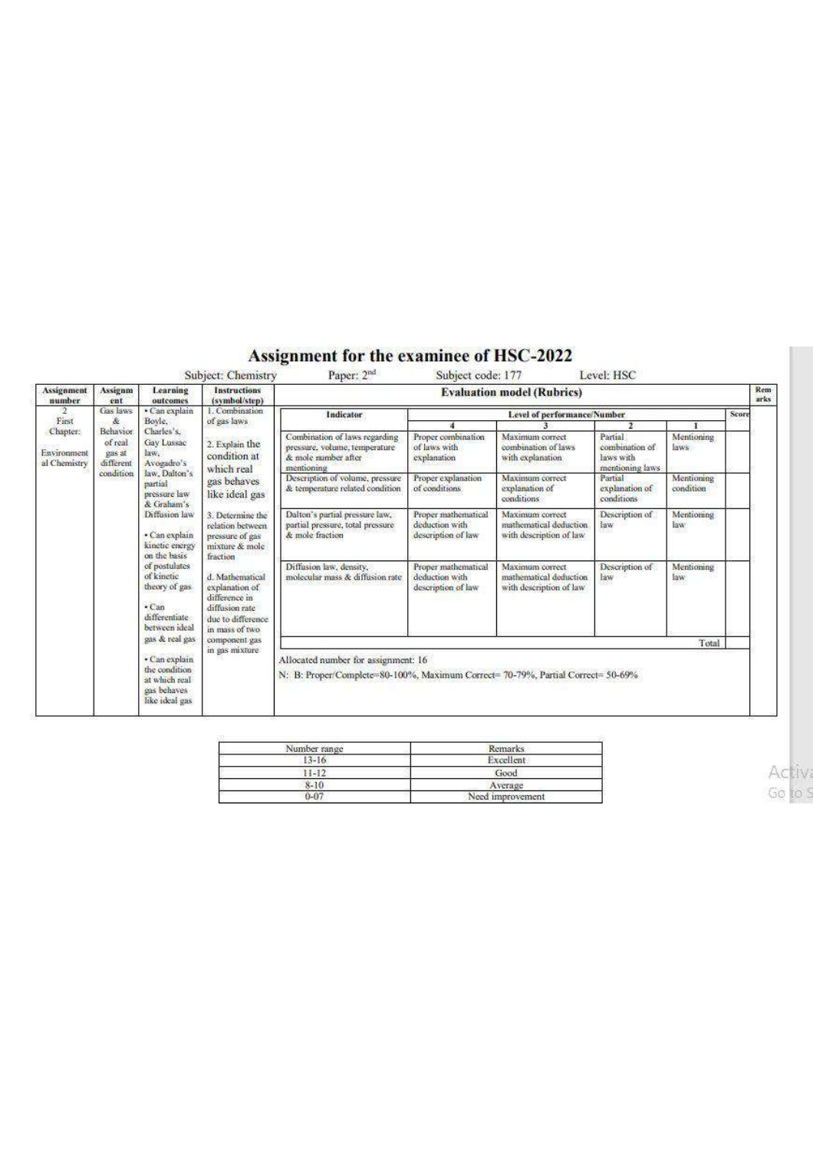## Assignment for the examinee of HSC-2022

| Assignment<br>number             | Assignm<br>ent                                                              | Learning<br>outcomes                                                                                                                                                                                                                                                                                                                                                                                                                                                                                                                                                                                                                                                                                                                                                                | <b>Instructions</b><br>(symbol/step)                       | <b>Evaluation model (Rubrics)</b>                                                                                      |                                                                      |                                                                      |                                            |                           |       | Rem<br>arks |
|----------------------------------|-----------------------------------------------------------------------------|-------------------------------------------------------------------------------------------------------------------------------------------------------------------------------------------------------------------------------------------------------------------------------------------------------------------------------------------------------------------------------------------------------------------------------------------------------------------------------------------------------------------------------------------------------------------------------------------------------------------------------------------------------------------------------------------------------------------------------------------------------------------------------------|------------------------------------------------------------|------------------------------------------------------------------------------------------------------------------------|----------------------------------------------------------------------|----------------------------------------------------------------------|--------------------------------------------|---------------------------|-------|-------------|
| First<br>Chapter:<br>Environment | Gas laws<br>$\&$<br>Behavior<br>of real<br>gas at<br>different<br>condition | 1. Combination<br>· Can explain<br>Boyle.<br>of gas laws<br>Charles's.<br><b>Gay Lussac</b><br>2. Explain the<br>law.<br>condition at<br>Avogadro's<br>which real<br>law, Dalton's<br>gas behaves<br>partial<br>pressure law<br>like ideal gas<br>& Graham's<br>Diffusion law<br>3. Determine the<br>relation between<br>· Can explain<br>pressure of gas<br>kinetic energy<br>mixture & mole<br>on the basis<br>fraction<br>of postulates<br>of kinetic<br>d. Mathematical<br>theory of gas<br>explanation of<br>difference in<br>$\cdot$ Can<br>diffusion rate<br>differentiate<br>due to difference.<br>between ideal<br>in mass of two<br>gas & real gas<br>component gas<br>in gas mixture<br>· Can explain<br>the condition<br>at which real<br>gas behaves<br>like ideal gas |                                                            | Indicator<br>Combination of laws regarding<br>pressure, volume, temperature                                            | Level of performance/Number                                          |                                                                      |                                            |                           | Score |             |
|                                  |                                                                             |                                                                                                                                                                                                                                                                                                                                                                                                                                                                                                                                                                                                                                                                                                                                                                                     |                                                            |                                                                                                                        | Proper combination<br>of laws with                                   | Maximum correct<br>combination of laws.                              | $\mathcal{F}$<br>Partial<br>combination of | Mentioning<br>laws        |       |             |
| al Chemistry                     |                                                                             |                                                                                                                                                                                                                                                                                                                                                                                                                                                                                                                                                                                                                                                                                                                                                                                     |                                                            | & mole number after<br>mentioning                                                                                      | explanation                                                          | with explanation                                                     | laws with<br>mentsoning laws               |                           |       |             |
|                                  |                                                                             |                                                                                                                                                                                                                                                                                                                                                                                                                                                                                                                                                                                                                                                                                                                                                                                     |                                                            | Description of volume, pressure<br>& temperature related condition                                                     | Proper explanation<br>of conditions                                  | Maximum correct<br>explanation of<br>conditions                      | Partial<br>explanation of<br>conditions    | Mentioning<br>condition   |       |             |
|                                  |                                                                             |                                                                                                                                                                                                                                                                                                                                                                                                                                                                                                                                                                                                                                                                                                                                                                                     |                                                            | Dalton's partial pressure law,<br>partial pressure, total pressure<br>& mole fraction                                  | Proper mathematical<br>deduction with<br>description of law          | Maximum correct<br>mathematical deduction<br>with description of law | Description of<br>law                      | Mentioning<br>law:<br>880 |       |             |
|                                  |                                                                             |                                                                                                                                                                                                                                                                                                                                                                                                                                                                                                                                                                                                                                                                                                                                                                                     | Diffusion law, density,<br>molecular mass & diffusion rate | Proper mathematical<br>deduction with<br>description of law                                                            | Maximum correct<br>mathematical deduction<br>with description of law | Description of<br>law                                                | Mentioning<br>law.<br>58.W                 |                           |       |             |
|                                  |                                                                             |                                                                                                                                                                                                                                                                                                                                                                                                                                                                                                                                                                                                                                                                                                                                                                                     |                                                            | Total                                                                                                                  |                                                                      |                                                                      |                                            |                           |       |             |
|                                  |                                                                             |                                                                                                                                                                                                                                                                                                                                                                                                                                                                                                                                                                                                                                                                                                                                                                                     |                                                            | Allocated number for assignment: 16<br>N: B: Proper/Complete=80-100%, Maximum Correct= 70-79%, Partial Correct= 50-69% |                                                                      |                                                                      |                                            |                           |       |             |

| Number range | <b>Remarks</b>   |
|--------------|------------------|
| $13 - 16$    | Excellent.       |
| $11 - 12$    | Good             |
| 8-10         | Average          |
| $0 - 07$     | Need improvement |

**Activ** Go to S